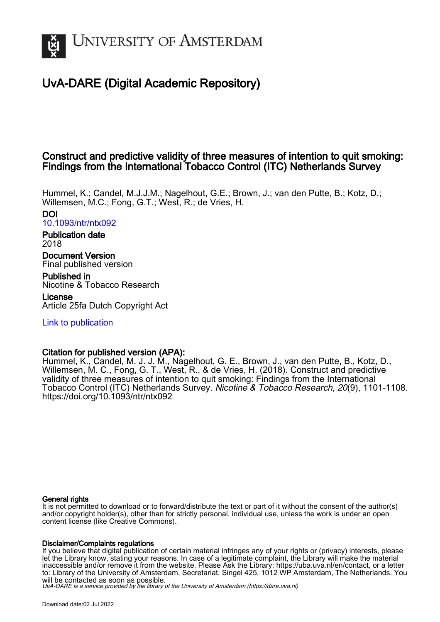

# UvA-DARE (Digital Academic Repository)

## Construct and predictive validity of three measures of intention to quit smoking: Findings from the International Tobacco Control (ITC) Netherlands Survey

Hummel, K.; Candel, M.J.J.M.; Nagelhout, G.E.; Brown, J.; van den Putte, B.; Kotz, D.; Willemsen, M.C.; Fong, G.T.; West, R.; de Vries, H.

DOI [10.1093/ntr/ntx092](https://doi.org/10.1093/ntr/ntx092)

Publication date 2018

Document Version Final published version

Published in Nicotine & Tobacco Research License

Article 25fa Dutch Copyright Act

[Link to publication](https://dare.uva.nl/personal/pure/en/publications/construct-and-predictive-validity-of-three-measures-of-intention-to-quit-smoking-findings-from-the-international-tobacco-control-itc-netherlands-survey(d5028a39-5681-4c05-ae8c-2256717ab302).html)

## Citation for published version (APA):

Hummel, K., Candel, M. J. J. M., Nagelhout, G. E., Brown, J., van den Putte, B., Kotz, D., Willemsen, M. C., Fong, G. T., West, R., & de Vries, H. (2018). Construct and predictive validity of three measures of intention to quit smoking: Findings from the International Tobacco Control (ITC) Netherlands Survey. Nicotine & Tobacco Research, 20(9), 1101-1108. <https://doi.org/10.1093/ntr/ntx092>

## General rights

It is not permitted to download or to forward/distribute the text or part of it without the consent of the author(s) and/or copyright holder(s), other than for strictly personal, individual use, unless the work is under an open content license (like Creative Commons).

## Disclaimer/Complaints regulations

If you believe that digital publication of certain material infringes any of your rights or (privacy) interests, please let the Library know, stating your reasons. In case of a legitimate complaint, the Library will make the material inaccessible and/or remove it from the website. Please Ask the Library: https://uba.uva.nl/en/contact, or a letter to: Library of the University of Amsterdam, Secretariat, Singel 425, 1012 WP Amsterdam, The Netherlands. You will be contacted as soon as possible.

UvA-DARE is a service provided by the library of the University of Amsterdam (http*s*://dare.uva.nl)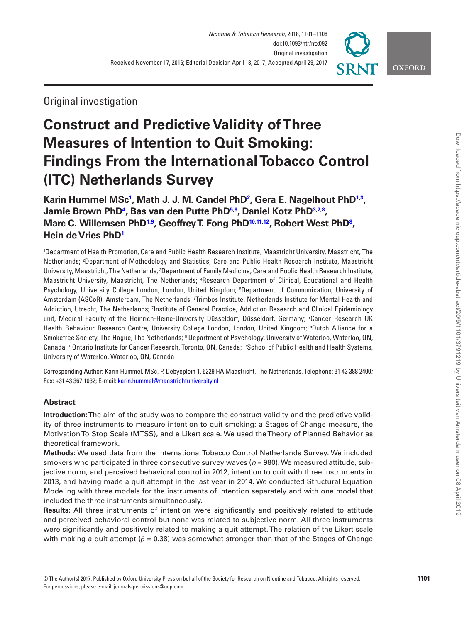

Original investigation

# **Construct and Predictive Validity of Three Measures of Intention to Quit Smoking: Findings From the International Tobacco Control (ITC) Netherlands Survey**

Karin Hummel MS $c^1$ , Math J. J. M. Candel PhD<sup>2</sup>, Gera E. Nagelhout PhD<sup>1[,3](#page-1-2)</sup>, **Jamie Brown Ph[D4](#page-1-3) , Bas van den Putte Ph[D5](#page-1-4)[,6](#page-1-5) , Daniel Kotz Ph[D3,](#page-1-2)[7](#page-1-6)[,8](#page-1-7) , Marc C. Willemsen Ph[D1,](#page-1-0)[9](#page-1-8) , Geoffrey T. Fong Ph[D10](#page-1-9)[,11,](#page-1-10)[12](#page-1-11), Robert West Ph[D8](#page-1-7) , Hein de Vries Ph[D1](#page-1-0)**

<span id="page-1-6"></span><span id="page-1-5"></span><span id="page-1-4"></span><span id="page-1-3"></span><span id="page-1-2"></span><span id="page-1-1"></span><span id="page-1-0"></span>1 Department of Health Promotion, Care and Public Health Research Institute, Maastricht University, Maastricht, The Netherlands; 2 Department of Methodology and Statistics, Care and Public Health Research Institute, Maastricht University, Maastricht, The Netherlands; <sup>3</sup>Department of Family Medicine, Care and Public Health Research Institute, Maastricht University, Maastricht, The Netherlands; 4 Research Department of Clinical, Educational and Health Psychology, University College London, London, United Kingdom; <sup>5</sup>Department of Communication, University of Amsterdam (ASCoR), Amsterdam, The Netherlands; <sup>s</sup>Trimbos Institute, Netherlands Institute for Mental Health and Addiction, Utrecht, The Netherlands; <sup>7</sup>Institute of General Practice, Addiction Research and Clinical Epidemiology unit, Medical Faculty of the Heinrich-Heine-University Düsseldorf, Düsseldorf, Germany; 8 Cancer Research UK Health Behaviour Research Centre, University College London, London, United Kingdom; 9 Dutch Alliance for a Smokefree Society, The Hague, The Netherlands; <sup>10</sup>Department of Psychology, University of Waterloo, Waterloo, ON, Canada; 11Ontario Institute for Cancer Research, Toronto, ON, Canada; 12School of Public Health and Health Systems, University of Waterloo, Waterloo, ON, Canada

<span id="page-1-11"></span><span id="page-1-10"></span><span id="page-1-9"></span><span id="page-1-8"></span><span id="page-1-7"></span>Corresponding Author: Karin Hummel, MSc, P. Debyeplein 1, 6229 HA Maastricht, The Netherlands. Telephone: 31 43 388 2400*;*  Fax: +31 43 367 1032; E-mail: [karin.hummel@maastrichtuniversity.nl](mailto:karin.hummel@maastrichtuniversity.nl?subject=)

## **Abstract**

**Introduction:** The aim of the study was to compare the construct validity and the predictive validity of three instruments to measure intention to quit smoking: a Stages of Change measure, the Motivation To Stop Scale (MTSS), and a Likert scale. We used the Theory of Planned Behavior as theoretical framework.

**Methods:** We used data from the International Tobacco Control Netherlands Survey. We included smokers who participated in three consecutive survey waves (*n* = 980). We measured attitude, subjective norm, and perceived behavioral control in 2012, intention to quit with three instruments in 2013, and having made a quit attempt in the last year in 2014. We conducted Structural Equation Modeling with three models for the instruments of intention separately and with one model that included the three instruments simultaneously.

**Results:** All three instruments of intention were significantly and positively related to attitude and perceived behavioral control but none was related to subjective norm. All three instruments were significantly and positively related to making a quit attempt. The relation of the Likert scale with making a quit attempt ( $\beta$  = 0.38) was somewhat stronger than that of the Stages of Change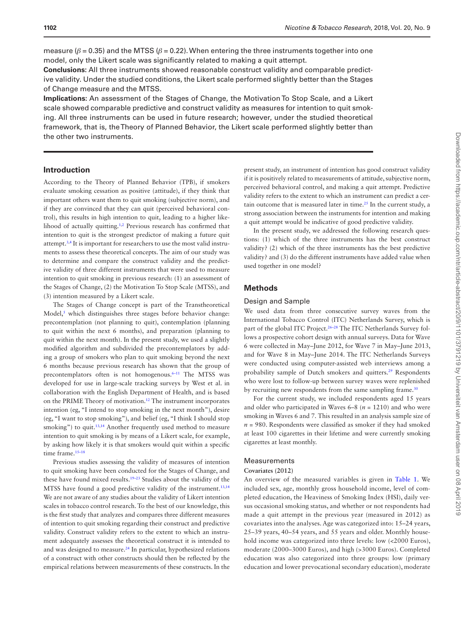measure ( $\beta$  = 0.35) and the MTSS ( $\beta$  = 0.22). When entering the three instruments together into one model, only the Likert scale was significantly related to making a quit attempt.

**Conclusions:** All three instruments showed reasonable construct validity and comparable predictive validity. Under the studied conditions, the Likert scale performed slightly better than the Stages of Change measure and the MTSS.

**Implications:** An assessment of the Stages of Change, the Motivation To Stop Scale, and a Likert scale showed comparable predictive and construct validity as measures for intention to quit smoking. All three instruments can be used in future research; however, under the studied theoretical framework, that is, the Theory of Planned Behavior, the Likert scale performed slightly better than the other two instruments.

## **Introduction**

According to the Theory of Planned Behavior (TPB), if smokers evaluate smoking cessation as positive (attitude), if they think that important others want them to quit smoking (subjective norm), and if they are convinced that they can quit (perceived behavioral control), this results in high intention to quit, leading to a higher like-lihood of actually quitting.<sup>1[,2](#page-7-1)</sup> Previous research has confirmed that intention to quit is the strongest predictor of making a future quit attempt.[3](#page-7-2)[,4](#page-7-3) It is important for researchers to use the most valid instruments to assess these theoretical concepts. The aim of our study was to determine and compare the construct validity and the predictive validity of three different instruments that were used to measure intention to quit smoking in previous research: (1) an assessment of the Stages of Change, (2) the Motivation To Stop Scale (MTSS), and (3) intention measured by a Likert scale.

The Stages of Change concept is part of the Transtheoretical Model,<sup>[5](#page-7-4)</sup> which distinguishes three stages before behavior change: precontemplation (not planning to quit), contemplation (planning to quit within the next 6 months), and preparation (planning to quit within the next month). In the present study, we used a slightly modified algorithm and subdivided the precontemplators by adding a group of smokers who plan to quit smoking beyond the next 6 months because previous research has shown that the group of precontemplators often is not homogenous.<sup>6-11</sup> The MTSS was developed for use in large-scale tracking surveys by West et al. in collaboration with the English Department of Health, and is based on the PRIME Theory of motivation[.12](#page-7-6) The instrument incorporates intention (eg, "I intend to stop smoking in the next month"), desire (eg, "I want to stop smoking"), and belief (eg, "I think I should stop smoking") to quit.<sup>[13](#page-7-7)[,14](#page-7-8)</sup> Another frequently used method to measure intention to quit smoking is by means of a Likert scale, for example, by asking how likely it is that smokers would quit within a specific time frame.<sup>15-18</sup>

Previous studies assessing the validity of measures of intention to quit smoking have been conducted for the Stages of Change, and these have found mixed results[.19–23](#page-7-10) Studies about the validity of the MTSS have found a good predictive validity of the instrument.<sup>[13](#page-7-7)[,14](#page-7-8)</sup> We are not aware of any studies about the validity of Likert intention scales in tobacco control research. To the best of our knowledge, this is the first study that analyzes and compares three different measures of intention to quit smoking regarding their construct and predictive validity. Construct validity refers to the extent to which an instrument adequately assesses the theoretical construct it is intended to and was designed to measure.<sup>24</sup> In particular, hypothesized relations of a construct with other constructs should then be reflected by the empirical relations between measurements of these constructs. In the

present study, an instrument of intention has good construct validity if it is positively related to measurements of attitude, subjective norm, perceived behavioral control, and making a quit attempt. Predictive validity refers to the extent to which an instrument can predict a certain outcome that is measured later in time.<sup>25</sup> In the current study, a strong association between the instruments for intention and making a quit attempt would be indicative of good predictive validity.

In the present study, we addressed the following research questions: (1) which of the three instruments has the best construct validity? (2) which of the three instruments has the best predictive validity? and (3) do the different instruments have added value when used together in one model?

## **Methods**

#### Design and Sample

We used data from three consecutive survey waves from the International Tobacco Control (ITC) Netherlands Survey, which is part of the global ITC Project.<sup>26-28</sup> The ITC Netherlands Survey follows a prospective cohort design with annual surveys. Data for Wave 6 were collected in May–June 2012, for Wave 7 in May–June 2013, and for Wave 8 in May–June 2014. The ITC Netherlands Surveys were conducted using computer-assisted web interviews among a probability sample of Dutch smokers and quitters.<sup>[29](#page-7-14)</sup> Respondents who were lost to follow-up between survey waves were replenished by recruiting new respondents from the same sampling frame.<sup>[30](#page-8-0)</sup>

For the current study, we included respondents aged 15 years and older who participated in Waves 6–8 (*n* = 1210) and who were smoking in Waves 6 and 7. This resulted in an analysis sample size of  $n = 980$ . Respondents were classified as smoker if they had smoked at least 100 cigarettes in their lifetime and were currently smoking cigarettes at least monthly.

## Measurements

#### **Covariates (2012)**

An overview of the measured variables is given in [Table 1](#page-4-0). We included sex, age, monthly gross household income, level of completed education, the Heaviness of Smoking Index (HSI), daily versus occasional smoking status, and whether or not respondents had made a quit attempt in the previous year (measured in 2012) as covariates into the analyses. Age was categorized into: 15–24 years, 25–39 years, 40–54 years, and 55 years and older. Monthly household income was categorized into three levels: low (<2000 Euros), moderate (2000–3000 Euros), and high (>3000 Euros). Completed education was also categorized into three groups: low (primary education and lower prevocational secondary education), moderate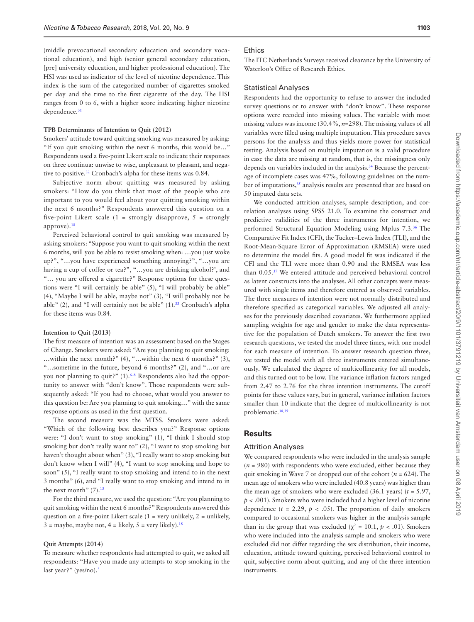(middle prevocational secondary education and secondary vocational education), and high (senior general secondary education, [pre] university education, and higher professional education). The HSI was used as indicator of the level of nicotine dependence. This index is the sum of the categorized number of cigarettes smoked per day and the time to the first cigarette of the day. The HSI ranges from 0 to 6, with a higher score indicating higher nicotine dependence.<sup>[31](#page-8-1)</sup>

#### **TPB Determinants of Intention to Quit (2012)**

Smokers' attitude toward quitting smoking was measured by asking: "If you quit smoking within the next 6 months, this would be…" Respondents used a five-point Likert scale to indicate their responses on three continua: unwise to wise, unpleasant to pleasant, and negative to positive.[32](#page-8-2) Cronbach's alpha for these items was 0.84.

Subjective norm about quitting was measured by asking smokers: "How do you think that most of the people who are important to you would feel about your quitting smoking within the next 6 months?" Respondents answered this question on a five-point Likert scale  $(1 =$  strongly disapprove,  $5 =$  strongly approve)[.18](#page-7-15)

Perceived behavioral control to quit smoking was measured by asking smokers: "Suppose you want to quit smoking within the next 6 months, will you be able to resist smoking when: …you just woke up?", "…you have experienced something annoying?", "…you are having a cup of coffee or tea?", "…you are drinking alcohol?', and "… you are offered a cigarette?" Response options for these questions were "I will certainly be able" (5), "I will probably be able" (4), "Maybe I will be able, maybe not" (3), "I will probably not be able" (2), and "I will certainly not be able"  $(1).<sup>33</sup>$  Cronbach's alpha for these items was 0.84.

#### **Intention to Quit (2013)**

The first measure of intention was an assessment based on the Stages of Change. Smokers were asked: "Are you planning to quit smoking: …within the next month?" (4), "…within the next 6 months?" (3), "…sometime in the future, beyond 6 months?" (2), and "…or are you not planning to quit?" (1)[.6–8](#page-7-5) Respondents also had the opportunity to answer with "don't know". Those respondents were subsequently asked: "If you had to choose, what would you answer to this question be: Are you planning to quit smoking…" with the same response options as used in the first question.

The second measure was the MTSS. Smokers were asked: "Which of the following best describes you?" Response options were: "I don't want to stop smoking" (1), "I think I should stop smoking but don't really want to" (2), "I want to stop smoking but haven't thought about when" (3), "I really want to stop smoking but don't know when I will" (4), "I want to stop smoking and hope to soon" (5), "I really want to stop smoking and intend to in the next 3 months" (6), and "I really want to stop smoking and intend to in the next month"  $(7).$ <sup>[13](#page-7-7)</sup>

For the third measure, we used the question: "Are you planning to quit smoking within the next 6 months?" Respondents answered this question on a five-point Likert scale  $(1 = \text{very unlikely}, 2 = \text{unlikely},$  $3 =$  maybe, maybe not,  $4 =$  likely,  $5 =$  very likely).<sup>[18](#page-7-15)</sup>

#### **Quit Attempts (2014)**

To measure whether respondents had attempted to quit, we asked all respondents: "Have you made any attempts to stop smoking in the last year?" (yes/no).<sup>3</sup>

#### **Ethics**

The ITC Netherlands Surveys received clearance by the University of Waterloo's Office of Research Ethics.

### Statistical Analyses

Respondents had the opportunity to refuse to answer the included survey questions or to answer with "don't know". These response options were recoded into missing values. The variable with most missing values was income (30.4%, *n*=298). The missing values of all variables were filled using multiple imputation. This procedure saves persons for the analysis and thus yields more power for statistical testing. Analysis based on multiple imputation is a valid procedure in case the data are missing at random, that is, the missingness only depends on variables included in the analysis.<sup>34</sup> Because the percentage of incomplete cases was 47%, following guidelines on the number of imputations,<sup>35</sup> analysis results are presented that are based on 50 imputed data sets.

We conducted attrition analyses, sample description, and correlation analyses using SPSS 21.0. To examine the construct and predictive validities of the three instruments for intention, we performed Structural Equation Modeling using Mplus 7.3.[36](#page-8-6) The Comparative Fit Index (CFI), the Tucker–Lewis Index (TLI), and the Root-Mean-Square Error of Approximation (RMSEA) were used to determine the model fits. A good model fit was indicated if the CFI and the TLI were more than 0.90 and the RMSEA was less than 0.05[.37](#page-8-7) We entered attitude and perceived behavioral control as latent constructs into the analyses. All other concepts were measured with single items and therefore entered as observed variables. The three measures of intention were not normally distributed and therefore specified as categorical variables. We adjusted all analyses for the previously described covariates. We furthermore applied sampling weights for age and gender to make the data representative for the population of Dutch smokers. To answer the first two research questions, we tested the model three times, with one model for each measure of intention. To answer research question three, we tested the model with all three instruments entered simultaneously. We calculated the degree of multicollinearity for all models, and this turned out to be low. The variance inflation factors ranged from 2.47 to 2.76 for the three intention instruments. The cutoff points for these values vary, but in general, variance inflation factors smaller than 10 indicate that the degree of multicollinearity is not problematic.[38](#page-8-8)[,39](#page-8-9)

## **Results**

## Attrition Analyses

We compared respondents who were included in the analysis sample  $(n = 980)$  with respondents who were excluded, either because they quit smoking in Wave 7 or dropped out of the cohort (*n* = 624). The mean age of smokers who were included (40.8 years) was higher than the mean age of smokers who were excluded  $(36.1 \text{ years})$   $(t = 5.97,$ *p* < .001). Smokers who were included had a higher level of nicotine dependence  $(t = 2.29, p < .05)$ . The proportion of daily smokers compared to occasional smokers was higher in the analysis sample than in the group that was excluded ( $\chi^2$  = 10.1,  $p$  < .01). Smokers who were included into the analysis sample and smokers who were excluded did not differ regarding the sex distribution, their income, education, attitude toward quitting, perceived behavioral control to quit, subjective norm about quitting, and any of the three intention instruments.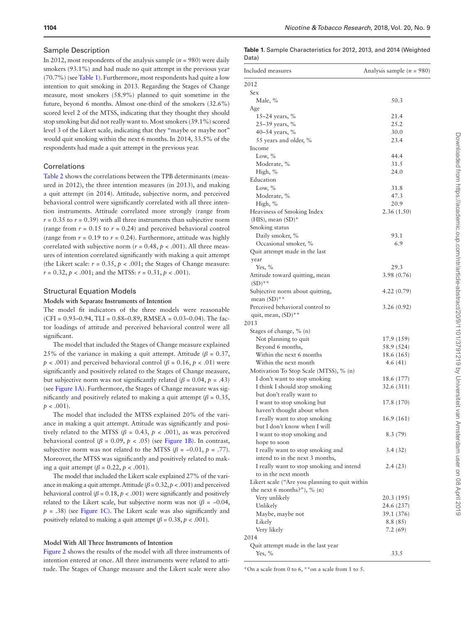#### Sample Description

In 2012, most respondents of the analysis sample  $(n = 980)$  were daily smokers (93.1%) and had made no quit attempt in the previous year (70.7%) (see [Table 1\)](#page-4-0). Furthermore, most respondents had quite a low intention to quit smoking in 2013. Regarding the Stages of Change measure, most smokers (58.9%) planned to quit sometime in the future, beyond 6 months. Almost one-third of the smokers (32.6%) scored level 2 of the MTSS, indicating that they thought they should stop smoking but did not really want to. Most smokers (39.1%) scored level 3 of the Likert scale, indicating that they "maybe or maybe not" would quit smoking within the next 6 months. In 2014, 33.5% of the respondents had made a quit attempt in the previous year.

## Correlations

[Table 2](#page-5-0) shows the correlations between the TPB determinants (measured in 2012), the three intention measures (in 2013), and making a quit attempt (in 2014). Attitude, subjective norm, and perceived behavioral control were significantly correlated with all three intention instruments. Attitude correlated more strongly (range from  $r = 0.35$  to  $r = 0.39$ ) with all three instruments than subjective norm (range from  $r = 0.15$  to  $r = 0.24$ ) and perceived behavioral control (range from  $r = 0.19$  to  $r = 0.24$ ). Furthermore, attitude was highly correlated with subjective norm ( $r = 0.48$ ,  $p < .001$ ). All three measures of intention correlated significantly with making a quit attempt (the Likert scale:  $r = 0.35$ ,  $p < .001$ ; the Stages of Change measure:  $r = 0.32$ ,  $p < .001$ ; and the MTSS:  $r = 0.31$ ,  $p < .001$ ).

#### Structural Equation Models

## **Models with Separate Instruments of Intention**

The model fit indicators of the three models were reasonable (CFI =  $0.93-0.94$ , TLI =  $0.88-0.89$ , RMSEA =  $0.03-0.04$ ). The factor loadings of attitude and perceived behavioral control were all significant.

The model that included the Stages of Change measure explained 25% of the variance in making a quit attempt. Attitude ( $\beta$  = 0.37,  *< .001) and perceived behavioral control (* $*β* = 0.16, *p*$  *< .01) were* significantly and positively related to the Stages of Change measure, but subjective norm was not significantly related ( $\beta$  = 0.04,  $p$  = .43) (see [Figure 1A\)](#page-5-1). Furthermore, the Stages of Change measure was significantly and positively related to making a quit attempt ( $\beta$  = 0.35,  $p < .001$ ).

The model that included the MTSS explained 20% of the variance in making a quit attempt. Attitude was significantly and positively related to the MTSS ( $\beta$  = 0.43,  $p$  < .001), as was perceived behavioral control ( $\beta$  = 0.09,  $p$  < .05) (see [Figure 1B](#page-5-1)). In contrast, subjective norm was not related to the MTSS ( $\beta$  = -0.01,  $p$  = .77). Moreover, the MTSS was significantly and positively related to making a quit attempt ( $\beta$  = 0.22,  $p$  < .001).

The model that included the Likert scale explained 27% of the variance in making a quit attempt. Attitude  $(\beta = 0.32, p < .001)$  and perceived behavioral control ( $\beta$  = 0.18,  $p$  < .001) were significantly and positively related to the Likert scale, but subjective norm was not  $(\beta = -0.04,$  $p = .38$ ) (see [Figure 1C\)](#page-5-1). The Likert scale was also significantly and positively related to making a quit attempt ( $\beta$  = 0.38,  $p$  < .001).

#### **Model With All Three Instruments of Intention**

[Figure 2](#page-6-0) shows the results of the model with all three instruments of intention entered at once. All three instruments were related to attitude. The Stages of Change measure and the Likert scale were also

<span id="page-4-0"></span>**Table 1.** Sample Characteristics for 2012, 2013, and 2014 (Weighted Data)

| Included measures                                             | Analysis sample ( $n = 980$ ) |  |  |  |
|---------------------------------------------------------------|-------------------------------|--|--|--|
| 2012                                                          |                               |  |  |  |
| Sex                                                           |                               |  |  |  |
| Male, %                                                       | 50.3                          |  |  |  |
| Age                                                           |                               |  |  |  |
| 15–24 years, $%$                                              | 21.4                          |  |  |  |
| 25-39 years, %                                                | 25.2                          |  |  |  |
| 40–54 years, $%$                                              | 30.0                          |  |  |  |
| 55 years and older, %                                         | 23.4                          |  |  |  |
| Income                                                        |                               |  |  |  |
| Low, $%$                                                      | 44.4                          |  |  |  |
| Moderate, %                                                   | 31.5                          |  |  |  |
| High, %                                                       | 24.0                          |  |  |  |
| Education                                                     |                               |  |  |  |
| Low, $\%$                                                     | 31.8                          |  |  |  |
| Moderate, %                                                   | 47.3                          |  |  |  |
| High, %                                                       | 20.9                          |  |  |  |
| Heaviness of Smoking Index                                    | 2.36(1.50)                    |  |  |  |
| $(HIS)$ , mean $(SD)^*$                                       |                               |  |  |  |
| Smoking status                                                |                               |  |  |  |
| Daily smoker, %                                               | 93.1                          |  |  |  |
| Occasional smoker, %                                          | 6.9                           |  |  |  |
| Quit attempt made in the last                                 |                               |  |  |  |
| year                                                          |                               |  |  |  |
| Yes, $%$                                                      | 29.3                          |  |  |  |
| Attitude toward quitting, mean<br>$(SD)$ **                   | 3.98 (0.76)                   |  |  |  |
| Subjective norm about quitting,                               | 4.22(0.79)                    |  |  |  |
| mean $(SD)$ **                                                |                               |  |  |  |
| Perceived behavioral control to                               | 3.26(0.92)                    |  |  |  |
| quit, mean, (SD)**                                            |                               |  |  |  |
| 2013                                                          |                               |  |  |  |
| Stages of change, % (n)                                       |                               |  |  |  |
| Not planning to quit                                          | 17.9 (159)                    |  |  |  |
| Beyond 6 months,                                              | 58.9 (524)                    |  |  |  |
| Within the next 6 months                                      | 18.6 (165)                    |  |  |  |
| Within the next month                                         | 4.6(41)                       |  |  |  |
| Motivation To Stop Scale (MTSS), % (n)                        |                               |  |  |  |
| I don't want to stop smoking                                  | 18.6 (177)                    |  |  |  |
| I think I should stop smoking                                 | 32.6 (311)                    |  |  |  |
| but don't really want to                                      |                               |  |  |  |
| I want to stop smoking but                                    | 17.8 (170)                    |  |  |  |
| haven't thought about when                                    |                               |  |  |  |
| I really want to stop smoking<br>but I don't know when I will | 16.9 (161)                    |  |  |  |
|                                                               | 8.3(79)                       |  |  |  |
| I want to stop smoking and                                    |                               |  |  |  |
| hope to soon<br>I really want to stop smoking and             | 3.4(32)                       |  |  |  |
| intend to in the next 3 months,                               |                               |  |  |  |
| I really want to stop smoking and intend                      | 2.4(23)                       |  |  |  |
| to in the next month                                          |                               |  |  |  |
| Likert scale ("Are you planning to quit within                |                               |  |  |  |
| the next 6 months?"), $\%$ (n)                                |                               |  |  |  |
| Very unlikely                                                 | 20.3 (195)                    |  |  |  |
| Unlikely                                                      | 24.6 (237)                    |  |  |  |
| Maybe, maybe not                                              | 39.1 (376)                    |  |  |  |
| Likely                                                        | 8.8 (85)                      |  |  |  |
| Very likely                                                   | 7.2(69)                       |  |  |  |
| 2014                                                          |                               |  |  |  |
| Quit attempt made in the last year                            |                               |  |  |  |
| Yes, $%$                                                      | 33.5                          |  |  |  |

\*On a scale from 0 to 6, \*\*on a scale from 1 to 5.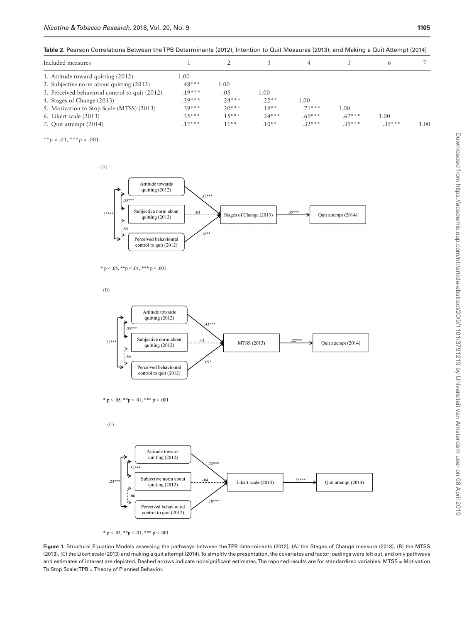<span id="page-5-0"></span>**Table 2.** Pearson Correlations Between the TPB Determinants (2012), Intention to Quit Measures (2013), and Making a Quit Attempt (2014)

| Included measures                              |          |          |         | 4        |          | 6        |      |
|------------------------------------------------|----------|----------|---------|----------|----------|----------|------|
| 1. Attitude toward quitting (2012)             | 1.00     |          |         |          |          |          |      |
| 2. Subjective norm about quitting (2012)       | $.48***$ | 1.00     |         |          |          |          |      |
| 3. Perceived behavioral control to quit (2012) | $.19***$ | .05      | 1.00    |          |          |          |      |
| 4. Stages of Change (2013)                     | $39***$  | $24***$  | $.22**$ | 1.00     |          |          |      |
| 5. Motivation to Stop Scale (MTSS) (2013)      | $.39***$ | $.20***$ | $.19**$ | $.71***$ | 1.00     |          |      |
| 6. Likert scale (2013)                         | $.35***$ | $.15***$ | $24***$ | $.69***$ | $.67***$ | 1.00     |      |
| 7. Quit attempt (2014)                         | $.17***$ | $.11**$  | $10**$  | $.32***$ | $.31***$ | $.35***$ | 1.00 |

\*\**p* < .01, \*\*\**p* < .001.



$$
* \ p < .05, \ **p < .01, \ *** \ p < .001
$$

 $(B)$ 



\* p < .05, \*\*p < .01, \*\*\* p < .001





<span id="page-5-1"></span>\* p < .05, \*\*p < .01, \*\*\* p < .001

**Figure 1.** Structural Equation Models assessing the pathways between the TPB determinants (2012), (A) the Stages of Change measure (2013), (B) the MTSS (2013), (C) the Likert scale (2013) and making a quit attempt (2014). To simplify the presentation, the covariates and factor loadings were left out, and only pathways and estimates of interest are depicted. Dashed arrows indicate nonsignificant estimates. The reported results are for standardized variables. MTSS = Motivation To Stop Scale; TPB = Theory of Planned Behavior.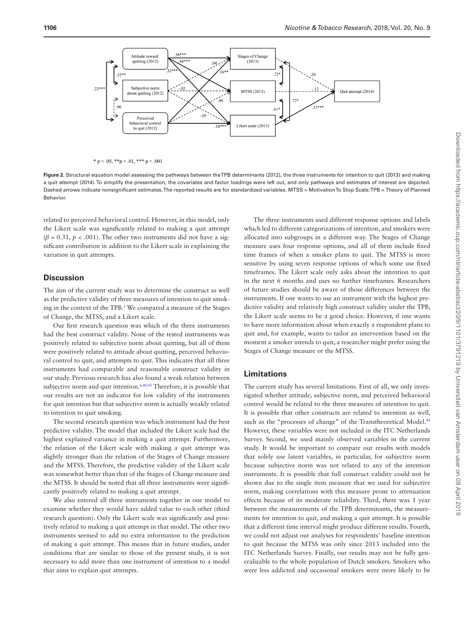

<span id="page-6-0"></span>\*  $p < .05$ , \*\* $p < .01$ , \*\*\*  $p < .001$ 

**Figure 2.** Structural equation model assessing the pathways between the TPB determinants (2012), the three instruments for intention to quit (2013) and making a quit attempt (2014). To simplify the presentation, the covariates and factor loadings were left out, and only pathways and estimates of interest are depicted. Dashed arrows indicate nonsignificant estimates. The reported results are for standardized variables. MTSS = Motivation To Stop Scale; TPB = Theory of Planned Behavior.

related to perceived behavioral control. However, in this model, only the Likert scale was significantly related to making a quit attempt  $(\beta = 0.31, p < .001)$ . The other two instruments did not have a significant contribution in addition to the Likert scale in explaining the variation in quit attempts.

## **Discussion**

The aim of the current study was to determine the construct as well as the predictive validity of three measures of intention to quit smoking in the context of the TPB.<sup>1</sup> We compared a measure of the Stages of Change, the MTSS, and a Likert scale.

Our first research question was which of the three instruments had the best construct validity. None of the tested instruments was positively related to subjective norm about quitting, but all of them were positively related to attitude about quitting, perceived behavioral control to quit, and attempts to quit. This indicates that all three instruments had comparable and reasonable construct validity in our study. Previous research has also found a weak relation between subjective norm and quit intention.<sup>[6](#page-7-5)[,40,](#page-8-10)[41](#page-8-11)</sup> Therefore, it is possible that our results are not an indicator for low validity of the instruments for quit intention but that subjective norm is actually weakly related to intention to quit smoking.

The second research question was which instrument had the best predictive validity. The model that included the Likert scale had the highest explained variance in making a quit attempt. Furthermore, the relation of the Likert scale with making a quit attempt was slightly stronger than the relation of the Stages of Change measure and the MTSS. Therefore, the predictive validity of the Likert scale was somewhat better than that of the Stages of Change measure and the MTSS. It should be noted that all three instruments were significantly positively related to making a quit attempt.

We also entered all three instruments together in one model to examine whether they would have added value to each other (third research question). Only the Likert scale was significantly and positively related to making a quit attempt in that model. The other two instruments seemed to add no extra information to the prediction of making a quit attempt. This means that in future studies, under conditions that are similar to those of the present study, it is not necessary to add more than one instrument of intention to a model that aims to explain quit attempts.

The three instruments used different response options and labels which led to different categorizations of intention, and smokers were allocated into subgroups in a different way. The Stages of Change measure uses four response options, and all of them include fixed time frames of when a smoker plans to quit. The MTSS is more sensitive by using seven response options of which some use fixed timeframes. The Likert scale only asks about the intention to quit in the next 6 months and uses no further timeframes. Researchers of future studies should be aware of those differences between the instruments. If one wants to use an instrument with the highest predictive validity and relatively high construct validity under the TPB, the Likert scale seems to be a good choice. However, if one wants to have more information about when exactly a respondent plans to quit and, for example, wants to tailor an intervention based on the moment a smoker intends to quit, a researcher might prefer using the Stages of Change measure or the MTSS.

## **Limitations**

The current study has several limitations. First of all, we only investigated whether attitude, subjective norm, and perceived behavioral control would be related to the three measures of intention to quit. It is possible that other constructs are related to intention as well, such as the "processes of change" of the Transtheoretical Model.<sup>42</sup> However, these variables were not included in the ITC Netherlands Survey. Second, we used mainly observed variables in the current study. It would be important to compare our results with models that solely use latent variables, in particular, for subjective norm because subjective norm was not related to any of the intention instruments. It is possible that full construct validity could not be shown due to the single item measure that we used for subjective norm, making correlations with this measure prone to attenuation effects because of its moderate reliability. Third, there was 1 year between the measurements of the TPB determinants, the measurements for intention to quit, and making a quit attempt. It is possible that a different time interval might produce different results. Fourth, we could not adjust our analyses for respondents' baseline intention to quit because the MTSS was only since 2013 included into the ITC Netherlands Survey. Finally, our results may not be fully generalizable to the whole population of Dutch smokers. Smokers who were less addicted and occasional smokers were more likely to be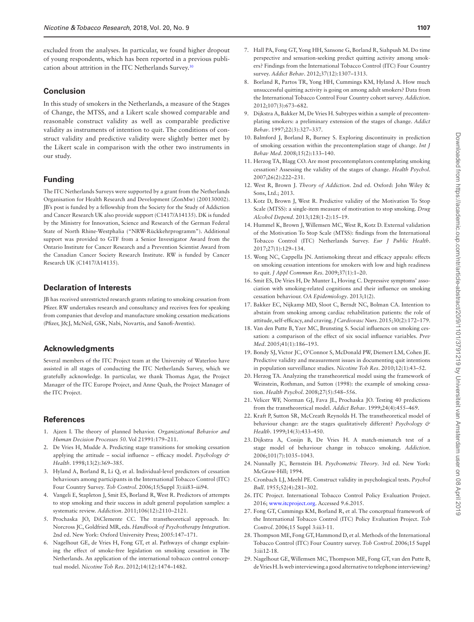excluded from the analyses. In particular, we found higher dropout of young respondents, which has been reported in a previous publication about attrition in the ITC Netherlands Survey.[30](#page-8-0)

## **Conclusion**

In this study of smokers in the Netherlands, a measure of the Stages of Change, the MTSS, and a Likert scale showed comparable and reasonable construct validity as well as comparable predictive validity as instruments of intention to quit. The conditions of construct validity and predictive validity were slightly better met by the Likert scale in comparison with the other two instruments in our study.

## **Funding**

The ITC Netherlands Surveys were supported by a grant from the Netherlands Organisation for Health Research and Development (ZonMw) (200130002). JB's post is funded by a fellowship from the Society for the Study of Addiction and Cancer Research UK also provide support (C1417/A14135). DK is funded by the Ministry for Innovation, Science and Research of the German Federal State of North Rhine-Westphalia ("NRW-Rückkehrprogramm"). Additional support was provided to GTF from a Senior Investigator Award from the Ontario Institute for Cancer Research and a Prevention Scientist Award from the Canadian Cancer Society Research Institute. RW is funded by Cancer Research UK (C1417/A14135).

## **Declaration of Interests**

JB has received unrestricted research grants relating to smoking cessation from Pfizer. RW undertakes research and consultancy and receives fees for speaking from companies that develop and manufacture smoking cessation medications (Pfizer, J&J, McNeil, GSK, Nabi, Novartis, and Sanofi-Aventis).

## **Acknowledgments**

Several members of the ITC Project team at the University of Waterloo have assisted in all stages of conducting the ITC Netherlands Survey, which we gratefully acknowledge. In particular, we thank Thomas Agar, the Project Manager of the ITC Europe Project, and Anne Quah, the Project Manager of the ITC Project.

## **References**

- <span id="page-7-0"></span>1. Ajzen I. The theory of planned behavior. *Organizational Behavior and Human Decision Processes 50*. Vol 21991:179–211.
- <span id="page-7-1"></span>2. De Vries H, Mudde A. Predicting stage transitions for smoking cessation applying the attitude – social influence – efficacy model. *Psychology & Health*. 1998;13(2):369–385.
- <span id="page-7-2"></span>3. Hyland A, Borland R, Li Q, et al. Individual-level predictors of cessation behaviours among participants in the International Tobacco Control (ITC) Four Country Survey. *Tob Control*. 2006;15(Suppl 3):iii83–iii94.
- <span id="page-7-3"></span>4. Vangeli E, Stapleton J, Smit ES, Borland R, West R. Predictors of attempts to stop smoking and their success in adult general population samples: a systematic review. *Addiction*. 2011;106(12):2110–2121.
- <span id="page-7-4"></span>5. Prochaska JO, DiClemente CC. The transtheoretical approach. In: Norcross JC, Goldfried MR, eds. *Handbook of Psychotherapy Integration*. 2nd ed. New York: Oxford University Press; 2005:147–171.
- <span id="page-7-5"></span>6. Nagelhout GE, de Vries H, Fong GT, et al. Pathways of change explaining the effect of smoke-free legislation on smoking cessation in The Netherlands. An application of the international tobacco control conceptual model. *Nicotine Tob Res*. 2012;14(12):1474–1482.
- 7. Hall PA, Fong GT, Yong HH, Sansone G, Borland R, Siahpush M. Do time perspective and sensation-seeking predict quitting activity among smokers? Findings from the International Tobacco Control (ITC) Four Country survey. *Addict Behav*. 2012;37(12):1307–1313.
- 8. Borland R, Partos TR, Yong HH, Cummings KM, Hyland A. How much unsuccessful quitting activity is going on among adult smokers? Data from the International Tobacco Control Four Country cohort survey. *Addiction*. 2012;107(3):673–682.
- 9. Dijkstra A, Bakker M, De Vries H. Subtypes within a sample of precontemplating smokers: a preliminary extension of the stages of change. *Addict Behav*. 1997;22(3):327–337.
- 10. Balmford J, Borland R, Burney S. Exploring discontinuity in prediction of smoking cessation within the precontemplation stage of change. *Int J Behav Med*. 2008;15(2):133–140.
- 11. Herzog TA, Blagg CO. Are most precontemplators contemplating smoking cessation? Assessing the validity of the stages of change. *Health Psychol*. 2007;26(2):222–231.
- <span id="page-7-6"></span>12. West R, Brown J. *Theory of Addiction*. 2nd ed. Oxford: John Wiley & Sons, Ltd.;  $2013$ .
- <span id="page-7-7"></span>13. Kotz D, Brown J, West R. Predictive validity of the Motivation To Stop Scale (MTSS): a single-item measure of motivation to stop smoking. *Drug Alcohol Depend*. 2013;128(1-2):15–19.
- <span id="page-7-8"></span>14. Hummel K, Brown J, Willemsen MC, West R, Kotz D. External validation of the Motivation To Stop Scale (MTSS): findings from the International Tobacco Control (ITC) Netherlands Survey. *Eur J Public Health*. 2017;27(1):129–134.
- <span id="page-7-9"></span>15. Wong NC, Cappella JN. Antismoking threat and efficacy appeals: effects on smoking cessation intentions for smokers with low and high readiness to quit. *J Appl Commun Res*. 2009;37(1):1–20.
- 16. Smit ES, De Vries H, De Munter L, Hoving C. Depressive symptoms' association with smoking-related cognitions and their influence on smoking cessation behaviour. *OA Epidemiology*. 2013;1(2).
- 17. Bakker EC, Nijkamp MD, Sloot C, Berndt NC, Bolman CA. Intention to abstain from smoking among cardiac rehabilitation patients: the role of attitude, self-efficacy, and craving. *J Cardiovasc Nurs*. 2015;30(2):172–179.
- <span id="page-7-15"></span>18. Van den Putte B, Yzer MC, Brunsting S. Social influences on smoking cessation: a comparison of the effect of six social influence variables. *Prev Med*. 2005;41(1):186–193.
- <span id="page-7-10"></span>19. Bondy SJ, Victor JC, O'Connor S, McDonald PW, Diemert LM, Cohen JE. Predictive validity and measurement issues in documenting quit intentions in population surveillance studies. *Nicotine Tob Res*. 2010;12(1):43–52.
- 20. Herzog TA. Analyzing the transtheoretical model using the framework of Weinstein, Rothman, and Sutton (1998): the example of smoking cessation. *Health Psychol*. 2008;27(5):548–556.
- 21. Velicer WF, Norman GJ, Fava JL, Prochaska JO. Testing 40 predictions from the transtheoretical model. *Addict Behav*. 1999;24(4):455–469.
- 22. Kraft P, Sutton SR, McCreath Reynolds H. The transtheoretical model of behaviour change: are the stages qualitatively different? *Psychology & Health*. 1999;14(3):433–450.
- 23. Dijkstra A, Conijn B, De Vries H. A match-mismatch test of a stage model of behaviour change in tobacco smoking. *Addiction*. 2006;101(7):1035–1043.
- <span id="page-7-11"></span>24. Nunnally JC, Bernstein IH. *Psychometric Theory*. 3rd ed. New York: McGraw-Hill; 1994.
- <span id="page-7-12"></span>25. Cronbach LJ, Meehl PE. Construct validity in psychological tests. *Psychol Bull*. 1955;52(4):281–302.
- <span id="page-7-13"></span>26. ITC Project. International Tobacco Control Policy Evaluation Project. 2016; [www.itcproject.org](http://www.itcproject.org). Accessed 9.6.2015.
- 27. Fong GT, Cummings KM, Borland R, et al. The conceptual framework of the International Tobacco Control (ITC) Policy Evaluation Project. *Tob Control*. 2006;15 Suppl 3:iii3-11.
- 28. Thompson ME, Fong GT, Hammond D, et al. Methods of the International Tobacco Control (ITC) Four Country survey. *Tob Control*. 2006;15 Suppl 3:iii12-18.
- <span id="page-7-14"></span>29. Nagelhout GE, Willemsen MC, Thompson ME, Fong GT, van den Putte B, de Vries H. Is web interviewing a good alternative to telephone interviewing?